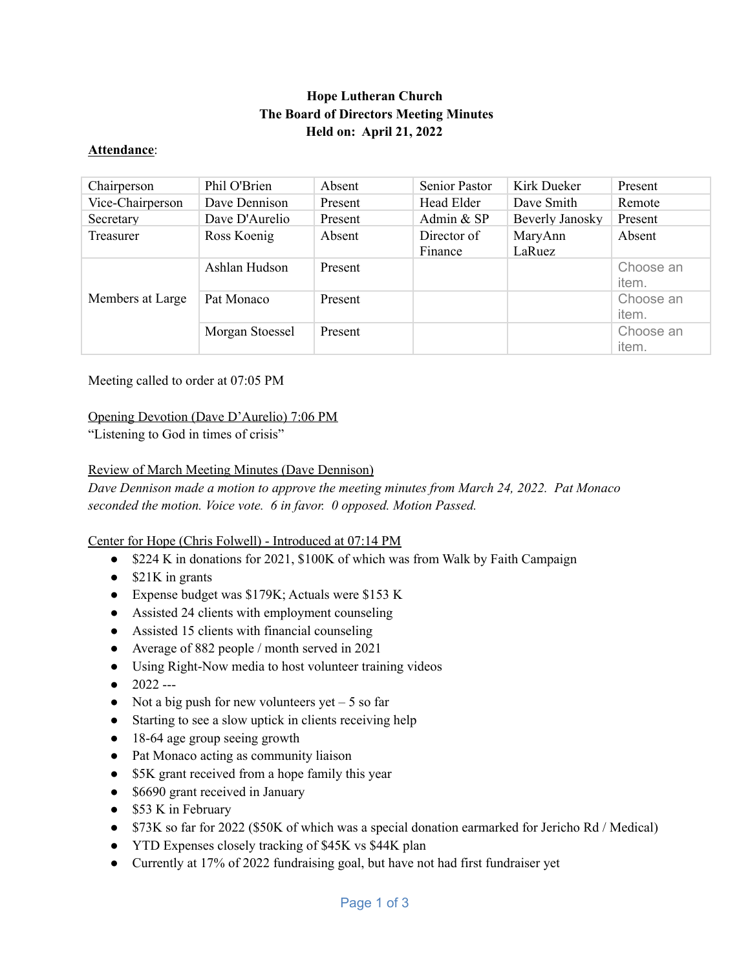# **Hope Lutheran Church The Board of Directors Meeting Minutes Held on: April 21, 2022**

### **Attendance**:

| Chairperson      | Phil O'Brien    | Absent  | Senior Pastor          | Kirk Dueker       | Present            |
|------------------|-----------------|---------|------------------------|-------------------|--------------------|
| Vice-Chairperson | Dave Dennison   | Present | Head Elder             | Dave Smith        | Remote             |
| Secretary        | Dave D'Aurelio  | Present | Admin & SP             | Beverly Janosky   | Present            |
| Treasurer        | Ross Koenig     | Absent  | Director of<br>Finance | MaryAnn<br>LaRuez | Absent             |
| Members at Large | Ashlan Hudson   | Present |                        |                   | Choose an<br>item. |
|                  | Pat Monaco      | Present |                        |                   | Choose an<br>item. |
|                  | Morgan Stoessel | Present |                        |                   | Choose an<br>item. |

Meeting called to order at 07:05 PM

## Opening Devotion (Dave D'Aurelio) 7:06 PM

"Listening to God in times of crisis"

## Review of March Meeting Minutes (Dave Dennison)

*Dave Dennison made a motion to approve the meeting minutes from March 24, 2022. Pat Monaco seconded the motion. Voice vote. 6 in favor. 0 opposed. Motion Passed.*

## Center for Hope (Chris Folwell) - Introduced at 07:14 PM

- \$224 K in donations for 2021, \$100K of which was from Walk by Faith Campaign
- $\bullet$  \$21K in grants
- Expense budget was \$179K; Actuals were \$153 K
- Assisted 24 clients with employment counseling
- Assisted 15 clients with financial counseling
- Average of 882 people / month served in 2021
- Using Right-Now media to host volunteer training videos
- $\bullet$  2022 ---
- Not a big push for new volunteers yet  $-5$  so far
- Starting to see a slow uptick in clients receiving help
- 18-64 age group seeing growth
- Pat Monaco acting as community liaison
- \$5K grant received from a hope family this year
- \$6690 grant received in January
- \$53 K in February
- \$73K so far for 2022 (\$50K of which was a special donation earmarked for Jericho Rd / Medical)
- YTD Expenses closely tracking of \$45K vs \$44K plan
- Currently at 17% of 2022 fundraising goal, but have not had first fundraiser yet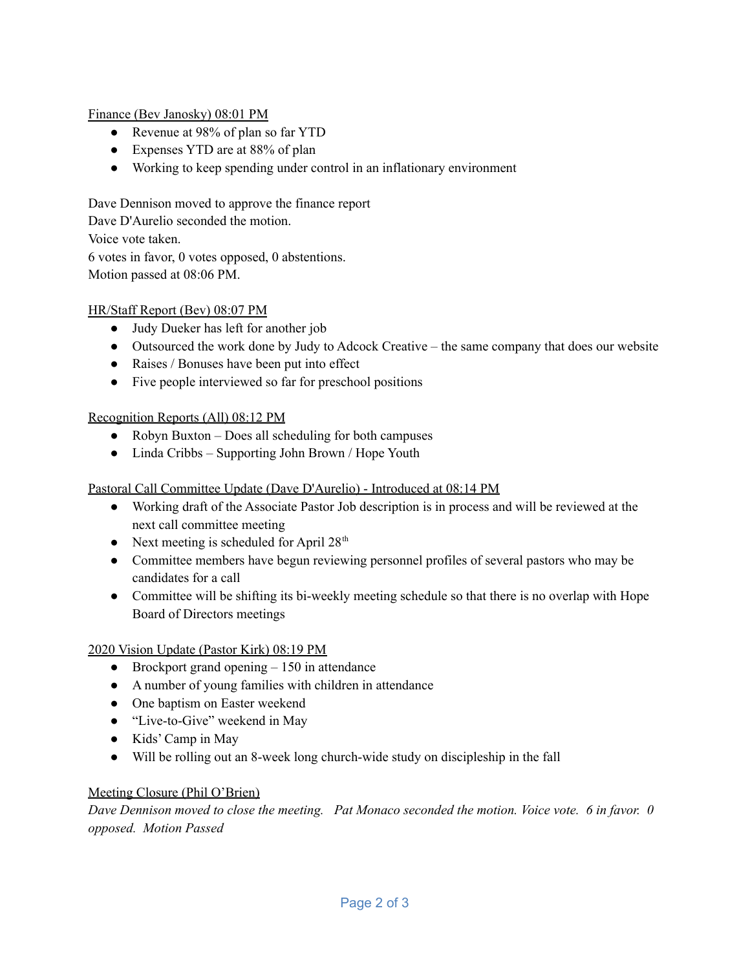Finance (Bev Janosky) 08:01 PM

- Revenue at 98% of plan so far YTD
- Expenses YTD are at 88% of plan
- Working to keep spending under control in an inflationary environment

Dave Dennison moved to approve the finance report Dave D'Aurelio seconded the motion. Voice vote taken. 6 votes in favor, 0 votes opposed, 0 abstentions. Motion passed at 08:06 PM.

## HR/Staff Report (Bev) 08:07 PM

- Judy Dueker has left for another job
- Outsourced the work done by Judy to Adcock Creative the same company that does our website
- Raises / Bonuses have been put into effect
- Five people interviewed so far for preschool positions

## Recognition Reports (All) 08:12 PM

- Robyn Buxton Does all scheduling for both campuses
- Linda Cribbs Supporting John Brown / Hope Youth

## Pastoral Call Committee Update (Dave D'Aurelio) - Introduced at 08:14 PM

- Working draft of the Associate Pastor Job description is in process and will be reviewed at the next call committee meeting
- Next meeting is scheduled for April  $28<sup>th</sup>$
- Committee members have begun reviewing personnel profiles of several pastors who may be candidates for a call
- Committee will be shifting its bi-weekly meeting schedule so that there is no overlap with Hope Board of Directors meetings

## 2020 Vision Update (Pastor Kirk) 08:19 PM

- Brockport grand opening  $-150$  in attendance
- A number of young families with children in attendance
- One baptism on Easter weekend
- "Live-to-Give" weekend in May
- Kids' Camp in May
- Will be rolling out an 8-week long church-wide study on discipleship in the fall

## Meeting Closure (Phil O'Brien)

Dave Dennison moved to close the meeting. Pat Monaco seconded the motion. Voice vote, 6 in favor, 0 *opposed. Motion Passed*